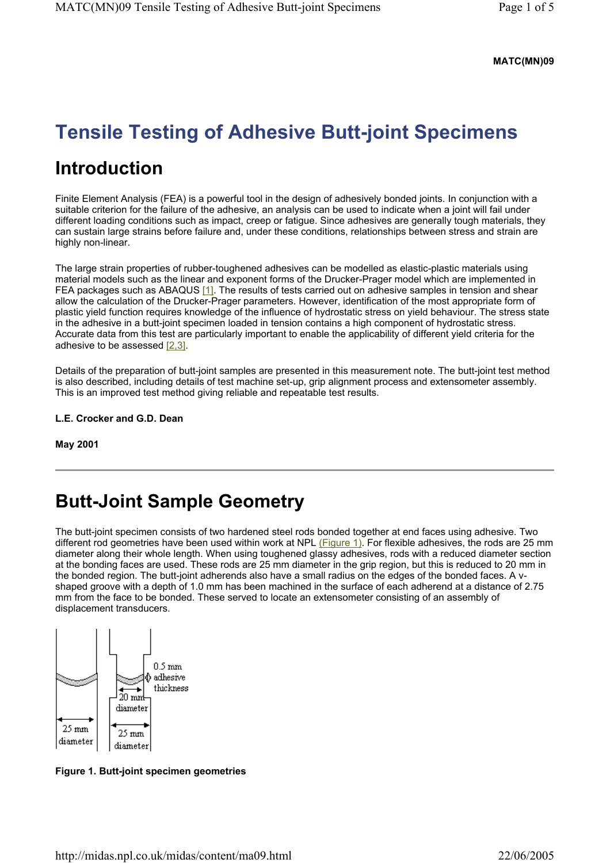#### **MATC(MN)09**

# **Tensile Testing of Adhesive Butt-joint Specimens**

### **Introduction**

Finite Element Analysis (FEA) is a powerful tool in the design of adhesively bonded joints. In conjunction with a suitable criterion for the failure of the adhesive, an analysis can be used to indicate when a joint will fail under different loading conditions such as impact, creep or fatigue. Since adhesives are generally tough materials, they can sustain large strains before failure and, under these conditions, relationships between stress and strain are highly non-linear.

The large strain properties of rubber-toughened adhesives can be modelled as elastic-plastic materials using material models such as the linear and exponent forms of the Drucker-Prager model which are implemented in FEA packages such as ABAQUS [1]. The results of tests carried out on adhesive samples in tension and shear allow the calculation of the Drucker-Prager parameters. However, identification of the most appropriate form of plastic yield function requires knowledge of the influence of hydrostatic stress on yield behaviour. The stress state in the adhesive in a butt-joint specimen loaded in tension contains a high component of hydrostatic stress. Accurate data from this test are particularly important to enable the applicability of different yield criteria for the adhesive to be assessed [2,3].

Details of the preparation of butt-joint samples are presented in this measurement note. The butt-joint test method is also described, including details of test machine set-up, grip alignment process and extensometer assembly. This is an improved test method giving reliable and repeatable test results.

**L.E. Crocker and G.D. Dean** 

**May 2001** 

### **Butt-Joint Sample Geometry**

The butt-joint specimen consists of two hardened steel rods bonded together at end faces using adhesive. Two different rod geometries have been used within work at NPL (Figure 1). For flexible adhesives, the rods are 25 mm diameter along their whole length. When using toughened glassy adhesives, rods with a reduced diameter section at the bonding faces are used. These rods are 25 mm diameter in the grip region, but this is reduced to 20 mm in the bonded region. The butt-joint adherends also have a small radius on the edges of the bonded faces. A vshaped groove with a depth of 1.0 mm has been machined in the surface of each adherend at a distance of 2.75 mm from the face to be bonded. These served to locate an extensometer consisting of an assembly of displacement transducers.



**Figure 1. Butt-joint specimen geometries**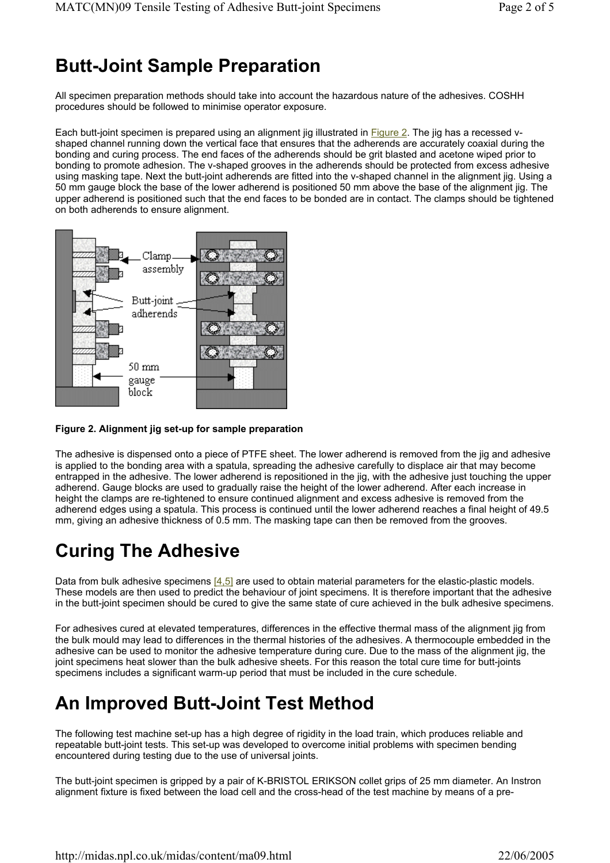# **Butt-Joint Sample Preparation**

All specimen preparation methods should take into account the hazardous nature of the adhesives. COSHH procedures should be followed to minimise operator exposure.

Each butt-joint specimen is prepared using an alignment jig illustrated in Figure 2. The jig has a recessed vshaped channel running down the vertical face that ensures that the adherends are accurately coaxial during the bonding and curing process. The end faces of the adherends should be grit blasted and acetone wiped prior to bonding to promote adhesion. The v-shaped grooves in the adherends should be protected from excess adhesive using masking tape. Next the butt-joint adherends are fitted into the v-shaped channel in the alignment jig. Using a 50 mm gauge block the base of the lower adherend is positioned 50 mm above the base of the alignment jig. The upper adherend is positioned such that the end faces to be bonded are in contact. The clamps should be tightened on both adherends to ensure alignment.



#### **Figure 2. Alignment jig set-up for sample preparation**

The adhesive is dispensed onto a piece of PTFE sheet. The lower adherend is removed from the jig and adhesive is applied to the bonding area with a spatula, spreading the adhesive carefully to displace air that may become entrapped in the adhesive. The lower adherend is repositioned in the jig, with the adhesive just touching the upper adherend. Gauge blocks are used to gradually raise the height of the lower adherend. After each increase in height the clamps are re-tightened to ensure continued alignment and excess adhesive is removed from the adherend edges using a spatula. This process is continued until the lower adherend reaches a final height of 49.5 mm, giving an adhesive thickness of 0.5 mm. The masking tape can then be removed from the grooves.

# **Curing The Adhesive**

Data from bulk adhesive specimens [4,5] are used to obtain material parameters for the elastic-plastic models. These models are then used to predict the behaviour of joint specimens. It is therefore important that the adhesive in the butt-joint specimen should be cured to give the same state of cure achieved in the bulk adhesive specimens.

For adhesives cured at elevated temperatures, differences in the effective thermal mass of the alignment jig from the bulk mould may lead to differences in the thermal histories of the adhesives. A thermocouple embedded in the adhesive can be used to monitor the adhesive temperature during cure. Due to the mass of the alignment jig, the joint specimens heat slower than the bulk adhesive sheets. For this reason the total cure time for butt-joints specimens includes a significant warm-up period that must be included in the cure schedule.

# **An Improved Butt-Joint Test Method**

The following test machine set-up has a high degree of rigidity in the load train, which produces reliable and repeatable butt-joint tests. This set-up was developed to overcome initial problems with specimen bending encountered during testing due to the use of universal joints.

The butt-joint specimen is gripped by a pair of K-BRISTOL ERIKSON collet grips of 25 mm diameter. An Instron alignment fixture is fixed between the load cell and the cross-head of the test machine by means of a pre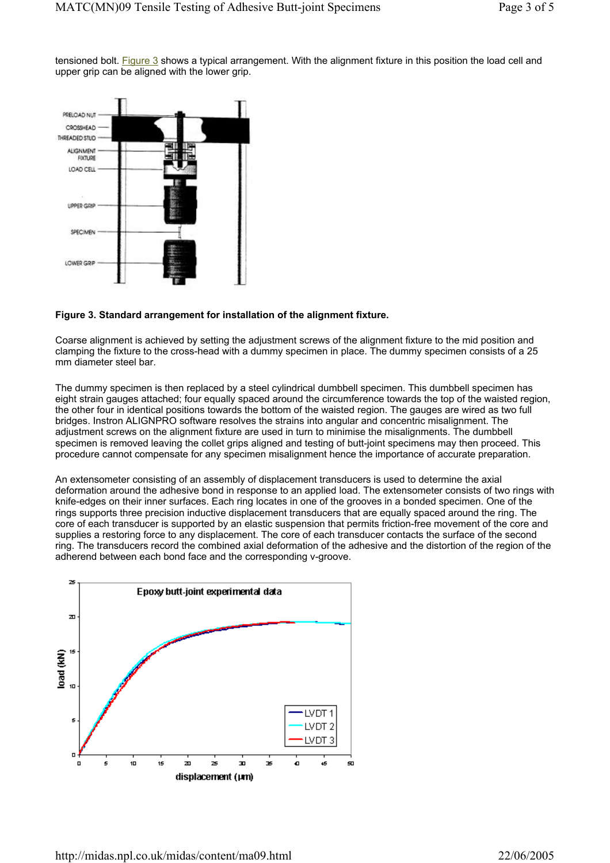tensioned bolt. Figure 3 shows a typical arrangement. With the alignment fixture in this position the load cell and upper grip can be aligned with the lower grip.



#### **Figure 3. Standard arrangement for installation of the alignment fixture.**

Coarse alignment is achieved by setting the adjustment screws of the alignment fixture to the mid position and clamping the fixture to the cross-head with a dummy specimen in place. The dummy specimen consists of a 25 mm diameter steel bar.

The dummy specimen is then replaced by a steel cylindrical dumbbell specimen. This dumbbell specimen has eight strain gauges attached; four equally spaced around the circumference towards the top of the waisted region, the other four in identical positions towards the bottom of the waisted region. The gauges are wired as two full bridges. Instron ALIGNPRO software resolves the strains into angular and concentric misalignment. The adjustment screws on the alignment fixture are used in turn to minimise the misalignments. The dumbbell specimen is removed leaving the collet grips aligned and testing of butt-joint specimens may then proceed. This procedure cannot compensate for any specimen misalignment hence the importance of accurate preparation.

An extensometer consisting of an assembly of displacement transducers is used to determine the axial deformation around the adhesive bond in response to an applied load. The extensometer consists of two rings with knife-edges on their inner surfaces. Each ring locates in one of the grooves in a bonded specimen. One of the rings supports three precision inductive displacement transducers that are equally spaced around the ring. The core of each transducer is supported by an elastic suspension that permits friction-free movement of the core and supplies a restoring force to any displacement. The core of each transducer contacts the surface of the second ring. The transducers record the combined axial deformation of the adhesive and the distortion of the region of the adherend between each bond face and the corresponding v-groove.

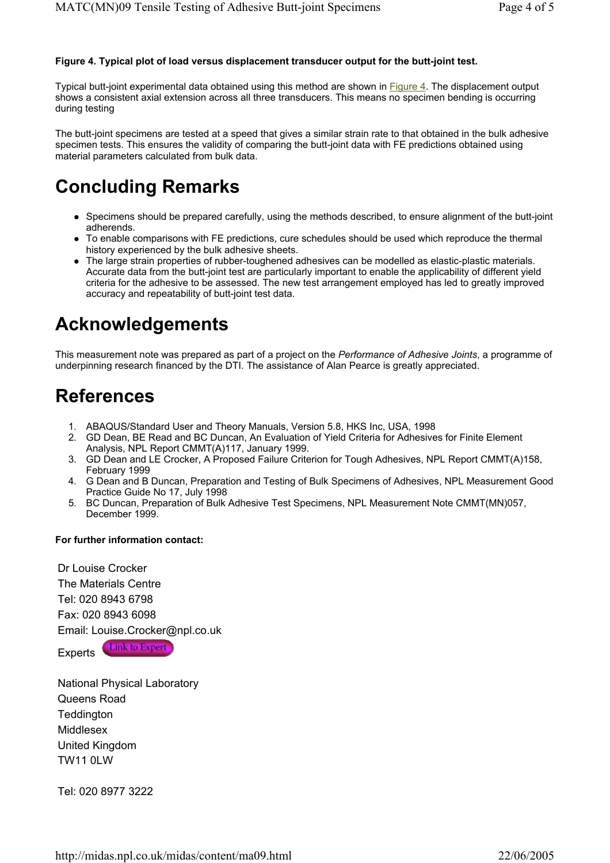#### **Figure 4. Typical plot of load versus displacement transducer output for the butt-joint test.**

Typical butt-joint experimental data obtained using this method are shown in Figure 4. The displacement output shows a consistent axial extension across all three transducers. This means no specimen bending is occurring during testing

The butt-joint specimens are tested at a speed that gives a similar strain rate to that obtained in the bulk adhesive specimen tests. This ensures the validity of comparing the butt-joint data with FE predictions obtained using material parameters calculated from bulk data.

## **Concluding Remarks**

- Specimens should be prepared carefully, using the methods described, to ensure alignment of the butt-joint adherends.
- To enable comparisons with FE predictions, cure schedules should be used which reproduce the thermal history experienced by the bulk adhesive sheets.
- The large strain properties of rubber-toughened adhesives can be modelled as elastic-plastic materials. Accurate data from the butt-joint test are particularly important to enable the applicability of different yield criteria for the adhesive to be assessed. The new test arrangement employed has led to greatly improved accuracy and repeatability of butt-joint test data.

### **Acknowledgements**

This measurement note was prepared as part of a project on the *Performance of Adhesive Joints*, a programme of underpinning research financed by the DTI. The assistance of Alan Pearce is greatly appreciated.

### **References**

- 1. ABAQUS/Standard User and Theory Manuals, Version 5.8, HKS Inc, USA, 1998
- 2. GD Dean, BE Read and BC Duncan, An Evaluation of Yield Criteria for Adhesives for Finite Element Analysis, NPL Report CMMT(A)117, January 1999.
- 3. GD Dean and LE Crocker, A Proposed Failure Criterion for Tough Adhesives, NPL Report CMMT(A)158, February 1999
- 4. G Dean and B Duncan, Preparation and Testing of Bulk Specimens of Adhesives, NPL Measurement Good Practice Guide No 17, July 1998
- 5. BC Duncan, Preparation of Bulk Adhesive Test Specimens, NPL Measurement Note CMMT(MN)057, December 1999.

#### **For further information contact:**

Dr Louise Crocker The Materials Centre Tel: 020 8943 6798 Fax: 020 8943 6098 Email: Louise.Crocker@npl.co.uk

Experts **Link to Expert** 

National Physical Laboratory Queens Road **Teddington Middlesex** United Kingdom TW11 0LW

Tel: 020 8977 3222